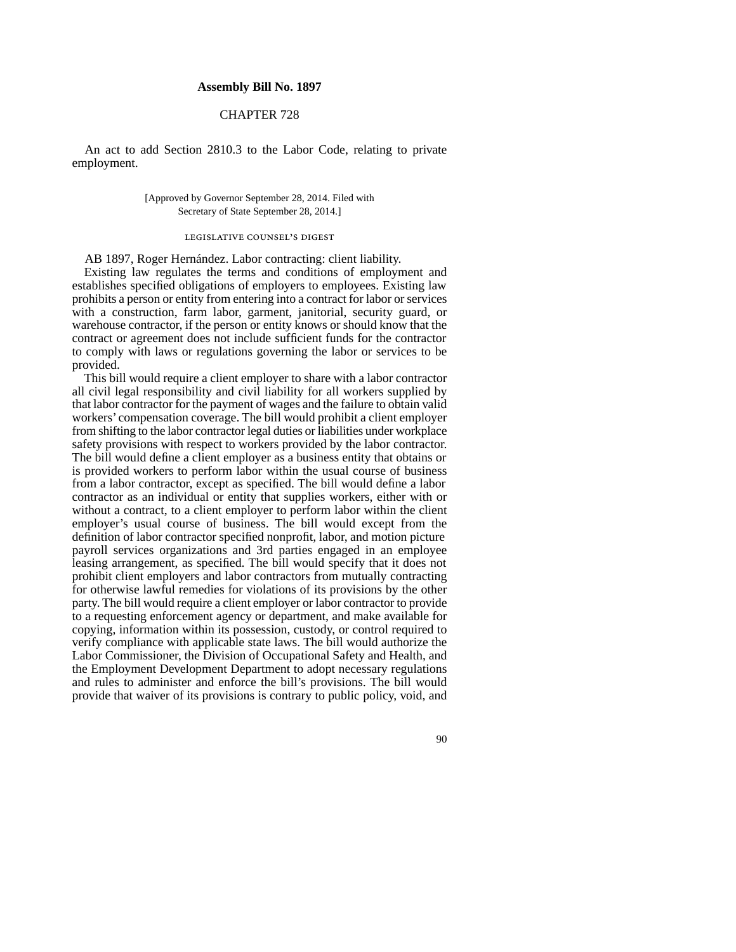## **Assembly Bill No. 1897**

## CHAPTER 728

An act to add Section 2810.3 to the Labor Code, relating to private employment.

## [Approved by Governor September 28, 2014. Filed with Secretary of State September 28, 2014.]

## legislative counsel' s digest

AB 1897, Roger Hernández. Labor contracting: client liability.

Existing law regulates the terms and conditions of employment and establishes specified obligations of employers to employees. Existing law prohibits a person or entity from entering into a contract for labor or services with a construction, farm labor, garment, janitorial, security guard, or warehouse contractor, if the person or entity knows or should know that the contract or agreement does not include sufficient funds for the contractor to comply with laws or regulations governing the labor or services to be provided.

This bill would require a client employer to share with a labor contractor all civil legal responsibility and civil liability for all workers supplied by that labor contractor for the payment of wages and the failure to obtain valid workers' compensation coverage. The bill would prohibit a client employer from shifting to the labor contractor legal duties or liabilities under workplace safety provisions with respect to workers provided by the labor contractor. The bill would define a client employer as a business entity that obtains or is provided workers to perform labor within the usual course of business from a labor contractor, except as specified. The bill would define a labor contractor as an individual or entity that supplies workers, either with or without a contract, to a client employer to perform labor within the client employer's usual course of business. The bill would except from the definition of labor contractor specified nonprofit, labor, and motion picture payroll services organizations and 3rd parties engaged in an employee leasing arrangement, as specified. The bill would specify that it does not prohibit client employers and labor contractors from mutually contracting for otherwise lawful remedies for violations of its provisions by the other party. The bill would require a client employer or labor contractor to provide to a requesting enforcement agency or department, and make available for copying, information within its possession, custody, or control required to verify compliance with applicable state laws. The bill would authorize the Labor Commissioner, the Division of Occupational Safety and Health, and the Employment Development Department to adopt necessary regulations and rules to administer and enforce the bill's provisions. The bill would provide that waiver of its provisions is contrary to public policy, void, and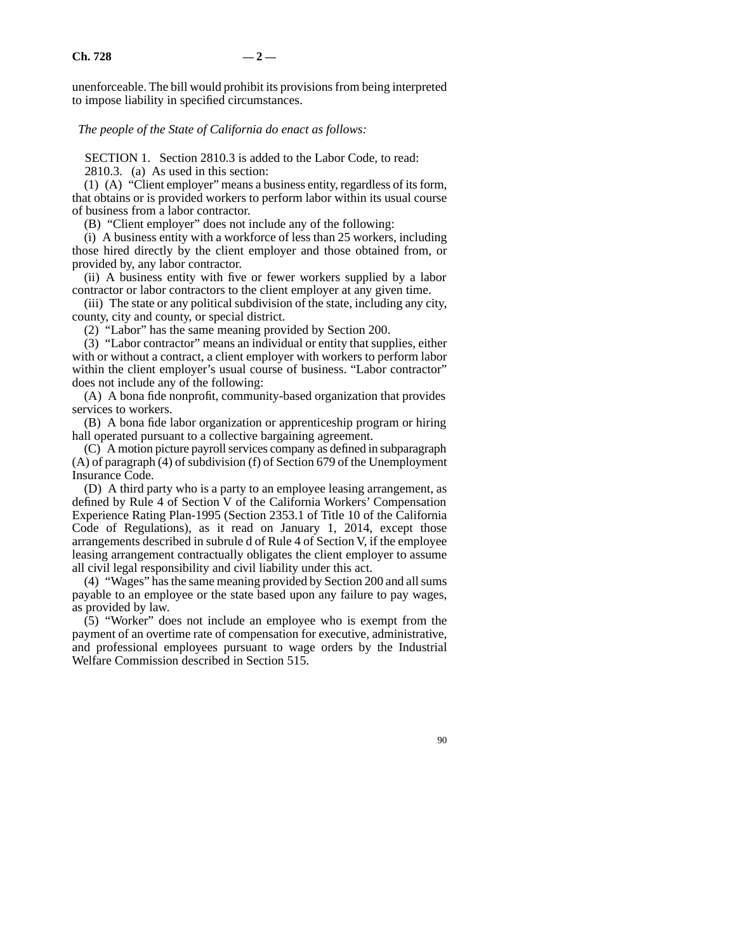unenforceable. The bill would prohibit its provisions from being interpreted to impose liability in specified circumstances.

*The people of the State of California do enact as follows:*

SECTION 1. Section 2810.3 is added to the Labor Code, to read:

2810.3. (a) As used in this section:

(1) (A) "Client employer" means a business entity, regardless of its form, that obtains or is provided workers to perform labor within its usual course of business from a labor contractor.

(B) "Client employer" does not include any of the following:

(i) A business entity with a workforce of less than 25 workers, including those hired directly by the client employer and those obtained from, or provided by, any labor contractor.

(ii) A business entity with five or fewer workers supplied by a labor contractor or labor contractors to the client employer at any given time.

(iii) The state or any political subdivision of the state, including any city, county, city and county, or special district.

(2) "Labor" has the same meaning provided by Section 200.

(3) "Labor contractor" means an individual or entity that supplies, either with or without a contract, a client employer with workers to perform labor within the client employer's usual course of business. "Labor contractor" does not include any of the following:

(A) A bona fide nonprofit, community-based organization that provides services to workers.

(B) A bona fide labor organization or apprenticeship program or hiring hall operated pursuant to a collective bargaining agreement.

(C) A motion picture payroll services company as defined in subparagraph (A) of paragraph (4) of subdivision (f) of Section 679 of the Unemployment Insurance Code.

(D) A third party who is a party to an employee leasing arrangement, as defined by Rule 4 of Section V of the California Workers' Compensation Experience Rating Plan-1995 (Section 2353.1 of Title 10 of the California Code of Regulations), as it read on January 1, 2014, except those arrangements described in subrule d of Rule 4 of Section V, if the employee leasing arrangement contractually obligates the client employer to assume all civil legal responsibility and civil liability under this act.

(4) "Wages" has the same meaning provided by Section 200 and all sums payable to an employee or the state based upon any failure to pay wages, as provided by law.

(5) "Worker" does not include an employee who is exempt from the payment of an overtime rate of compensation for executive, administrative, and professional employees pursuant to wage orders by the Industrial Welfare Commission described in Section 515.

90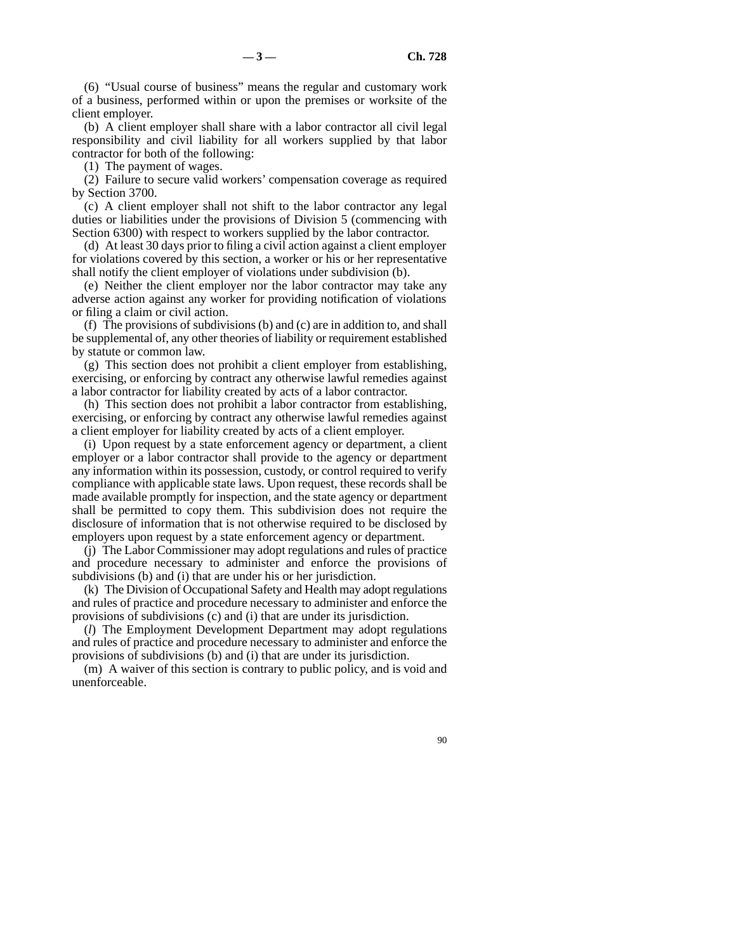(6) "Usual course of business" means the regular and customary work of a business, performed within or upon the premises or worksite of the client employer.

(b) A client employer shall share with a labor contractor all civil legal responsibility and civil liability for all workers supplied by that labor contractor for both of the following:

(1) The payment of wages.

(2) Failure to secure valid workers' compensation coverage as required by Section 3700.

(c) A client employer shall not shift to the labor contractor any legal duties or liabilities under the provisions of Division 5 (commencing with Section 6300) with respect to workers supplied by the labor contractor.

(d) At least 30 days prior to filing a civil action against a client employer for violations covered by this section, a worker or his or her representative shall notify the client employer of violations under subdivision (b).

(e) Neither the client employer nor the labor contractor may take any adverse action against any worker for providing notification of violations or filing a claim or civil action.

(f) The provisions of subdivisions (b) and (c) are in addition to, and shall be supplemental of, any other theories of liability or requirement established by statute or common law.

(g) This section does not prohibit a client employer from establishing, exercising, or enforcing by contract any otherwise lawful remedies against a labor contractor for liability created by acts of a labor contractor.

(h) This section does not prohibit a labor contractor from establishing, exercising, or enforcing by contract any otherwise lawful remedies against a client employer for liability created by acts of a client employer.

(i) Upon request by a state enforcement agency or department, a client employer or a labor contractor shall provide to the agency or department any information within its possession, custody, or control required to verify compliance with applicable state laws. Upon request, these records shall be made available promptly for inspection, and the state agency or department shall be permitted to copy them. This subdivision does not require the disclosure of information that is not otherwise required to be disclosed by employers upon request by a state enforcement agency or department.

(j) The Labor Commissioner may adopt regulations and rules of practice and procedure necessary to administer and enforce the provisions of subdivisions (b) and (i) that are under his or her jurisdiction.

(k) The Division of Occupational Safety and Health may adopt regulations and rules of practice and procedure necessary to administer and enforce the provisions of subdivisions (c) and (i) that are under its jurisdiction.

(*l*) The Employment Development Department may adopt regulations and rules of practice and procedure necessary to administer and enforce the provisions of subdivisions (b) and (i) that are under its jurisdiction.

(m) A waiver of this section is contrary to public policy, and is void and unenforceable.

90